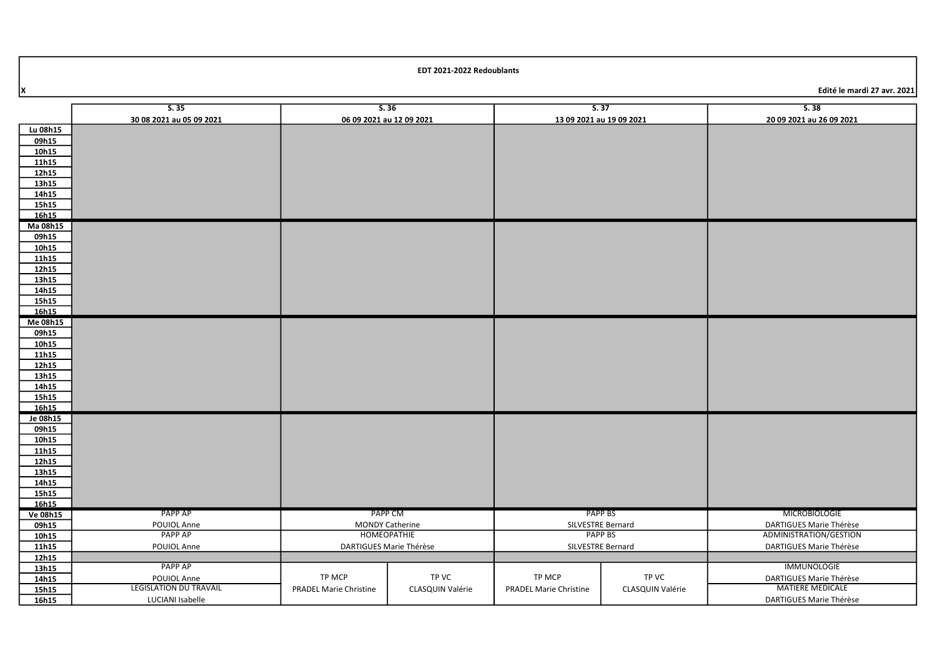| Edité le mardi 27 avr. 2021 |
|-----------------------------|

|          | S.35                          | S.36                          |                  | S.37                          |                  | S.38                     |
|----------|-------------------------------|-------------------------------|------------------|-------------------------------|------------------|--------------------------|
|          | 30 08 2021 au 05 09 2021      | 06 09 2021 au 12 09 2021      |                  | 13 09 2021 au 19 09 2021      |                  | 20 09 2021 au 26 09 2021 |
| Lu 08h15 |                               |                               |                  |                               |                  |                          |
| 09h15    |                               |                               |                  |                               |                  |                          |
| 10h15    |                               |                               |                  |                               |                  |                          |
| 11h15    |                               |                               |                  |                               |                  |                          |
| 12h15    |                               |                               |                  |                               |                  |                          |
| 13h15    |                               |                               |                  |                               |                  |                          |
| 14h15    |                               |                               |                  |                               |                  |                          |
| 15h15    |                               |                               |                  |                               |                  |                          |
| 16h15    |                               |                               |                  |                               |                  |                          |
| Ma 08h15 |                               |                               |                  |                               |                  |                          |
| 09h15    |                               |                               |                  |                               |                  |                          |
| 10h15    |                               |                               |                  |                               |                  |                          |
| 11h15    |                               |                               |                  |                               |                  |                          |
| 12h15    |                               |                               |                  |                               |                  |                          |
| 13h15    |                               |                               |                  |                               |                  |                          |
| 14h15    |                               |                               |                  |                               |                  |                          |
| 15h15    |                               |                               |                  |                               |                  |                          |
| 16h15    |                               |                               |                  |                               |                  |                          |
| Me 08h15 |                               |                               |                  |                               |                  |                          |
| 09h15    |                               |                               |                  |                               |                  |                          |
| 10h15    |                               |                               |                  |                               |                  |                          |
| 11h15    |                               |                               |                  |                               |                  |                          |
| 12h15    |                               |                               |                  |                               |                  |                          |
| 13h15    |                               |                               |                  |                               |                  |                          |
| 14h15    |                               |                               |                  |                               |                  |                          |
| 15h15    |                               |                               |                  |                               |                  |                          |
| 16h15    |                               |                               |                  |                               |                  |                          |
| Je 08h15 |                               |                               |                  |                               |                  |                          |
| 09h15    |                               |                               |                  |                               |                  |                          |
| 10h15    |                               |                               |                  |                               |                  |                          |
| 11h15    |                               |                               |                  |                               |                  |                          |
| 12h15    |                               |                               |                  |                               |                  |                          |
| 13h15    |                               |                               |                  |                               |                  |                          |
| 14h15    |                               |                               |                  |                               |                  |                          |
| 15h15    |                               |                               |                  |                               |                  |                          |
| 16h15    |                               |                               |                  |                               |                  |                          |
| Ve 08h15 | PAPP AP                       | PAPP CM                       |                  | PAPP BS                       |                  | <b>MICROBIOLOGIE</b>     |
| 09h15    | POUIOL Anne                   | <b>MONDY Catherine</b>        |                  | SILVESTRE Bernard             |                  | DARTIGUES Marie Thérèse  |
| 10h15    | <b>PAPP AP</b>                | HOMEOPATHIE                   |                  | <b>PAPP BS</b>                |                  | ADMINISTRATION/GESTION   |
| 11h15    | POUIOL Anne                   | DARTIGUES Marie Thérèse       |                  | SILVESTRE Bernard             |                  | DARTIGUES Marie Thérèse  |
| 12h15    |                               |                               |                  |                               |                  |                          |
| 13h15    | PAPP AP                       |                               |                  |                               |                  | <b>IMMUNOLOGIE</b>       |
| 14h15    | POUIOL Anne                   | TP MCP                        | TP VC            | TP MCP                        | TP VC            | DARTIGUES Marie Thérèse  |
| 15h15    | <b>LEGISLATION DU TRAVAIL</b> | <b>PRADEL Marie Christine</b> | CLASQUIN Valérie | <b>PRADEL Marie Christine</b> | CLASQUIN Valérie | <b>MATIERE MEDICALE</b>  |
| 16h15    | LUCIANI Isabelle              |                               |                  |                               |                  | DARTIGUES Marie Thérèse  |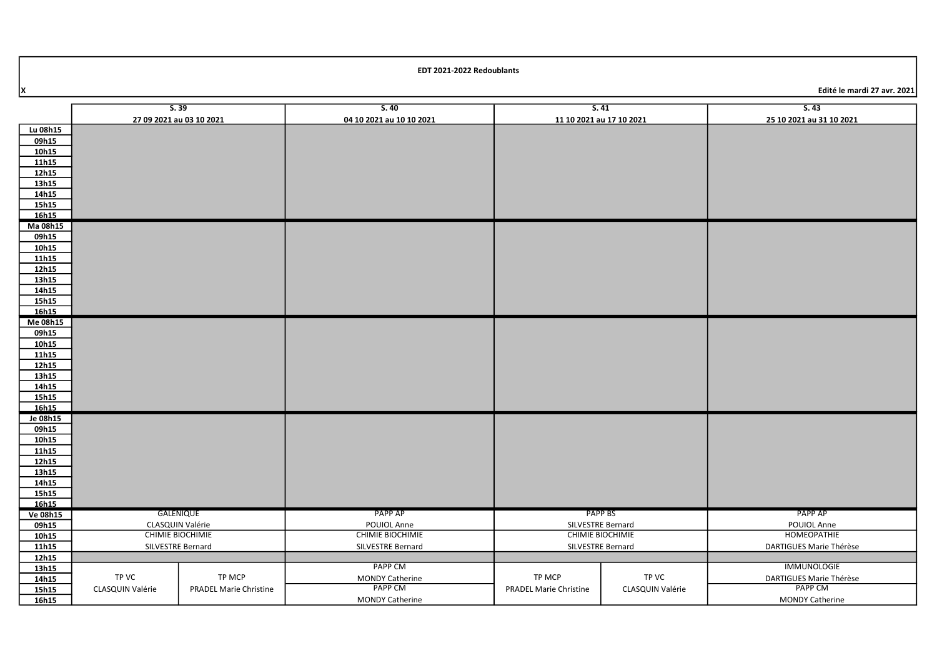| EDT 2021-2022 Redoublants |  |
|---------------------------|--|
|---------------------------|--|

Edité le mardi 27 avr. 2021

|                   | S.39                     |                               | S.40                     |                               | S.41                     | S.43                       |
|-------------------|--------------------------|-------------------------------|--------------------------|-------------------------------|--------------------------|----------------------------|
|                   | 27 09 2021 au 03 10 2021 |                               | 04 10 2021 au 10 10 2021 |                               | 11 10 2021 au 17 10 2021 | 25 10 2021 au 31 10 2021   |
| Lu 08h15          |                          |                               |                          |                               |                          |                            |
| 09h15             |                          |                               |                          |                               |                          |                            |
| 10h15             |                          |                               |                          |                               |                          |                            |
| 11h15             |                          |                               |                          |                               |                          |                            |
| 12h15             |                          |                               |                          |                               |                          |                            |
| 13h15             |                          |                               |                          |                               |                          |                            |
| 14h15             |                          |                               |                          |                               |                          |                            |
| 15h15             |                          |                               |                          |                               |                          |                            |
| 16h15             |                          |                               |                          |                               |                          |                            |
| Ma 08h15          |                          |                               |                          |                               |                          |                            |
| 09h15             |                          |                               |                          |                               |                          |                            |
| 10h15             |                          |                               |                          |                               |                          |                            |
| 11h15             |                          |                               |                          |                               |                          |                            |
| 12h15             |                          |                               |                          |                               |                          |                            |
| 13h15             |                          |                               |                          |                               |                          |                            |
| 14h15             |                          |                               |                          |                               |                          |                            |
| 15h15             |                          |                               |                          |                               |                          |                            |
| 16h15             |                          |                               |                          |                               |                          |                            |
| Me 08h15<br>09h15 |                          |                               |                          |                               |                          |                            |
| 10h15             |                          |                               |                          |                               |                          |                            |
| 11h15             |                          |                               |                          |                               |                          |                            |
| 12h15             |                          |                               |                          |                               |                          |                            |
| 13h15             |                          |                               |                          |                               |                          |                            |
| 14h15             |                          |                               |                          |                               |                          |                            |
| 15h15             |                          |                               |                          |                               |                          |                            |
| 16h15             |                          |                               |                          |                               |                          |                            |
| Je 08h15          |                          |                               |                          |                               |                          |                            |
| 09h15             |                          |                               |                          |                               |                          |                            |
| 10h15             |                          |                               |                          |                               |                          |                            |
| 11h15             |                          |                               |                          |                               |                          |                            |
| 12h15             |                          |                               |                          |                               |                          |                            |
| 13h15             |                          |                               |                          |                               |                          |                            |
| 14h15             |                          |                               |                          |                               |                          |                            |
| 15h15             |                          |                               |                          |                               |                          |                            |
| 16h15             |                          |                               |                          |                               |                          |                            |
| Ve 08h15          |                          | GALENIQUE                     | PAPP AP                  |                               | PAPP BS                  | PAPP AP                    |
| 09h15             |                          | CLASQUIN Valérie              | POUIOL Anne              |                               | SILVESTRE Bernard        | POUIOL Anne<br>HOMEOPATHIE |
| 10h15             |                          | <b>CHIMIE BIOCHIMIE</b>       | <b>CHIMIE BIOCHIMIE</b>  |                               | <b>CHIMIE BIOCHIMIE</b>  |                            |
| 11h15             | SILVESTRE Bernard        |                               | SILVESTRE Bernard        |                               | SILVESTRE Bernard        | DARTIGUES Marie Thérèse    |
| 12h15             |                          |                               | <b>PAPP CM</b>           |                               |                          | <b>IMMUNOLOGIE</b>         |
| 13h15<br>14h15    | TP VC                    | TP MCP                        | <b>MONDY Catherine</b>   | TP MCP                        | TP VC                    | DARTIGUES Marie Thérèse    |
| 15h15             | CLASQUIN Valérie         | <b>PRADEL Marie Christine</b> | <b>PAPP CM</b>           | <b>PRADEL Marie Christine</b> | CLASQUIN Valérie         | PAPP CM                    |
| 16h15             |                          |                               | <b>MONDY Catherine</b>   |                               |                          | <b>MONDY Catherine</b>     |
|                   |                          |                               |                          |                               |                          |                            |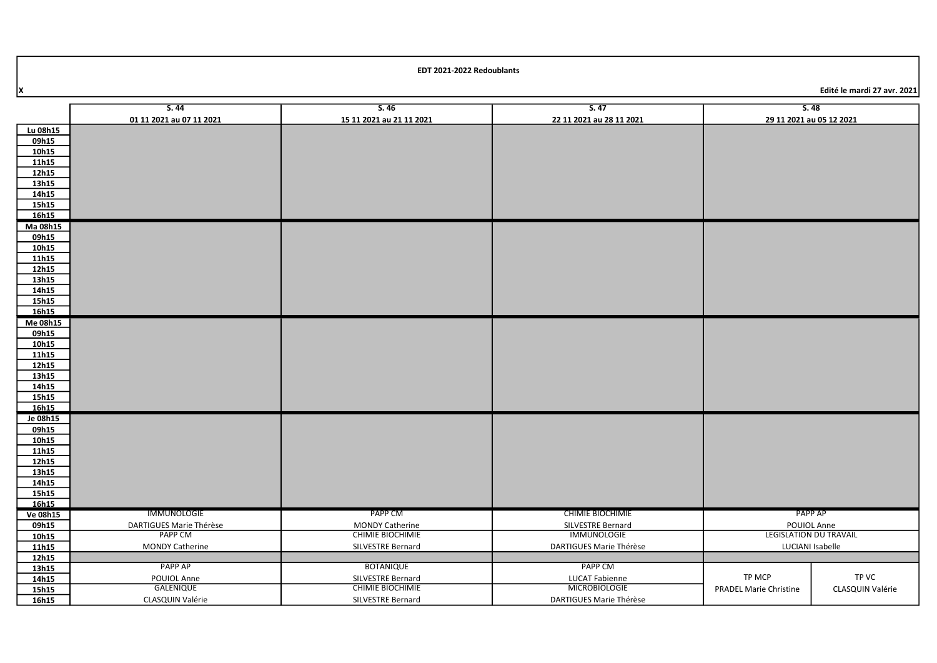PAPP CM LUCAT Fabienne **MICROBIOLOGIE** DARTIGUES Marie Thérèse

TP MCP PRADEL Marie Christine

| X              |                          |                          |                          | Edité le mardi 27 avr. 2021   |
|----------------|--------------------------|--------------------------|--------------------------|-------------------------------|
|                | S.44                     | S.46                     | S.47                     | S.48                          |
|                | 01 11 2021 au 07 11 2021 | 15 11 2021 au 21 11 2021 | 22 11 2021 au 28 11 2021 | 29 11 2021 au 05 12 2021      |
| Lu 08h15       |                          |                          |                          |                               |
| 09h15          |                          |                          |                          |                               |
| 10h15          |                          |                          |                          |                               |
| 11h15          |                          |                          |                          |                               |
| 12h15          |                          |                          |                          |                               |
| 13h15          |                          |                          |                          |                               |
| 14h15          |                          |                          |                          |                               |
| 15h15          |                          |                          |                          |                               |
| 16h15          |                          |                          |                          |                               |
| Ma 08h15       |                          |                          |                          |                               |
| 09h15          |                          |                          |                          |                               |
| 10h15          |                          |                          |                          |                               |
| 11h15          |                          |                          |                          |                               |
| 12h15<br>13h15 |                          |                          |                          |                               |
| 14h15          |                          |                          |                          |                               |
| 15h15          |                          |                          |                          |                               |
| 16h15          |                          |                          |                          |                               |
| Me 08h15       |                          |                          |                          |                               |
| 09h15          |                          |                          |                          |                               |
| 10h15          |                          |                          |                          |                               |
| 11h15          |                          |                          |                          |                               |
| 12h15          |                          |                          |                          |                               |
| 13h15          |                          |                          |                          |                               |
| 14h15          |                          |                          |                          |                               |
| 15h15          |                          |                          |                          |                               |
| 16h15          |                          |                          |                          |                               |
| Je 08h15       |                          |                          |                          |                               |
| 09h15<br>10h15 |                          |                          |                          |                               |
| 11h15          |                          |                          |                          |                               |
| 12h15          |                          |                          |                          |                               |
| 13h15          |                          |                          |                          |                               |
| 14h15          |                          |                          |                          |                               |
| 15h15          |                          |                          |                          |                               |
| 16h15          |                          |                          |                          |                               |
| Ve 08h15       | IMMUNOLOGIE              | PAPP CM                  | <b>CHIMIE BIOCHIMIE</b>  | PAPP AP                       |
| 09h15          | DARTIGUES Marie Thérèse  | <b>MONDY Catherine</b>   | SILVESTRE Bernard        | POUIOL Anne                   |
| 10h15          | <b>PAPP CM</b>           | <b>CHIMIE BIOCHIMIE</b>  | <b>IMMUNOLOGIE</b>       | <b>LEGISLATION DU TRAVAIL</b> |
| 11h15          | <b>MONDY Catherine</b>   | SILVESTRE Bernard        | DARTIGUES Marie Thérèse  | LUCIANI Isabelle              |

**BOTANIQUE** SILVESTRE Bernard CHIMIE BIOCHIMIE SILVESTRE Bernard

16h15

11h15 12h15 13h15 14h15 15h15

> PAPP AP POUIOL Anne **GALENIQUE** CLASQUIN Valérie

TP VC CLASQUIN Valérie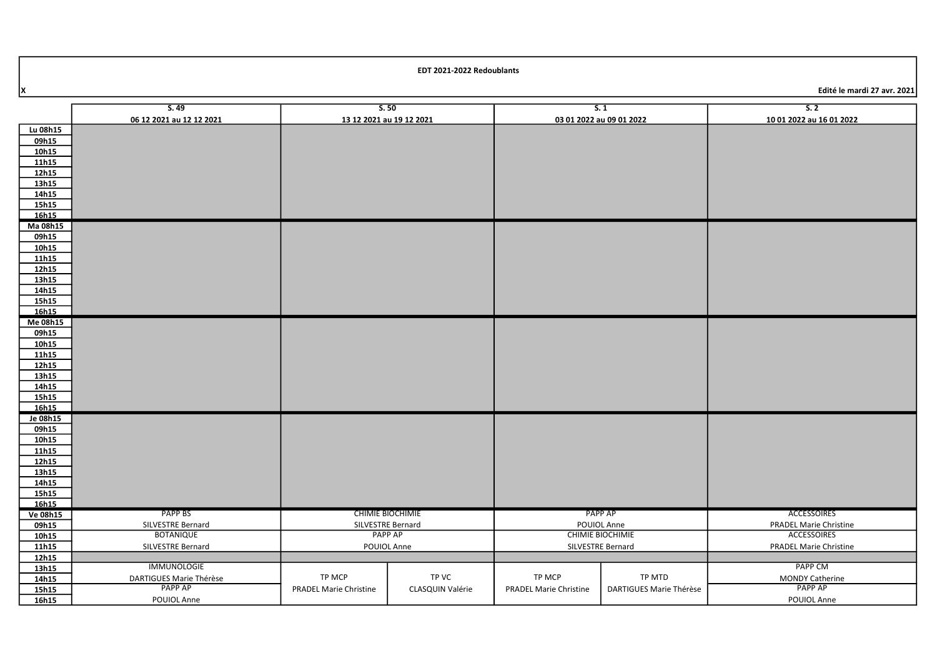X Edité le mardi 27 avr. 2021

|          | S.49                     | S.50                          |                  | S.1                           |                         | S.2                           |
|----------|--------------------------|-------------------------------|------------------|-------------------------------|-------------------------|-------------------------------|
|          | 06 12 2021 au 12 12 2021 | 13 12 2021 au 19 12 2021      |                  | 03 01 2022 au 09 01 2022      |                         | 10 01 2022 au 16 01 2022      |
| Lu 08h15 |                          |                               |                  |                               |                         |                               |
| 09h15    |                          |                               |                  |                               |                         |                               |
| 10h15    |                          |                               |                  |                               |                         |                               |
| 11h15    |                          |                               |                  |                               |                         |                               |
| 12h15    |                          |                               |                  |                               |                         |                               |
| 13h15    |                          |                               |                  |                               |                         |                               |
| 14h15    |                          |                               |                  |                               |                         |                               |
| 15h15    |                          |                               |                  |                               |                         |                               |
| 16h15    |                          |                               |                  |                               |                         |                               |
| Ma 08h15 |                          |                               |                  |                               |                         |                               |
| 09h15    |                          |                               |                  |                               |                         |                               |
| 10h15    |                          |                               |                  |                               |                         |                               |
| 11h15    |                          |                               |                  |                               |                         |                               |
| 12h15    |                          |                               |                  |                               |                         |                               |
| 13h15    |                          |                               |                  |                               |                         |                               |
| 14h15    |                          |                               |                  |                               |                         |                               |
| 15h15    |                          |                               |                  |                               |                         |                               |
| 16h15    |                          |                               |                  |                               |                         |                               |
| Me 08h15 |                          |                               |                  |                               |                         |                               |
| 09h15    |                          |                               |                  |                               |                         |                               |
| 10h15    |                          |                               |                  |                               |                         |                               |
| 11h15    |                          |                               |                  |                               |                         |                               |
| 12h15    |                          |                               |                  |                               |                         |                               |
| 13h15    |                          |                               |                  |                               |                         |                               |
| 14h15    |                          |                               |                  |                               |                         |                               |
| 15h15    |                          |                               |                  |                               |                         |                               |
| 16h15    |                          |                               |                  |                               |                         |                               |
| Je 08h15 |                          |                               |                  |                               |                         |                               |
| 09h15    |                          |                               |                  |                               |                         |                               |
| 10h15    |                          |                               |                  |                               |                         |                               |
| 11h15    |                          |                               |                  |                               |                         |                               |
| 12h15    |                          |                               |                  |                               |                         |                               |
| 13h15    |                          |                               |                  |                               |                         |                               |
| 14h15    |                          |                               |                  |                               |                         |                               |
| 15h15    |                          |                               |                  |                               |                         |                               |
| 16h15    |                          |                               |                  |                               |                         |                               |
| Ve 08h15 | <b>PAPP BS</b>           | <b>CHIMIE BIOCHIMIE</b>       |                  |                               | PAPP AP                 | ACCESSOIRES                   |
| 09h15    | SILVESTRE Bernard        | SILVESTRE Bernard             |                  |                               | POUIOL Anne             | <b>PRADEL Marie Christine</b> |
| 10h15    | <b>BOTANIQUE</b>         | PAPP AP                       |                  | <b>CHIMIE BIOCHIMIE</b>       |                         | <b>ACCESSOIRES</b>            |
| 11h15    | SILVESTRE Bernard        | POUIOL Anne                   |                  |                               | SILVESTRE Bernard       | <b>PRADEL Marie Christine</b> |
| 12h15    |                          |                               |                  |                               |                         |                               |
| 13h15    | <b>IMMUNOLOGIE</b>       |                               |                  |                               |                         | PAPP CM                       |
| 14h15    | DARTIGUES Marie Thérèse  | TP MCP                        | TP VC            | TP MCP                        | TP MTD                  | <b>MONDY Catherine</b>        |
| 15h15    | PAPP AP                  | <b>PRADEL Marie Christine</b> | CLASQUIN Valérie | <b>PRADEL Marie Christine</b> | DARTIGUES Marie Thérèse | PAPP AP                       |
| 16h15    | POUIOL Anne              |                               |                  |                               |                         | POUIOL Anne                   |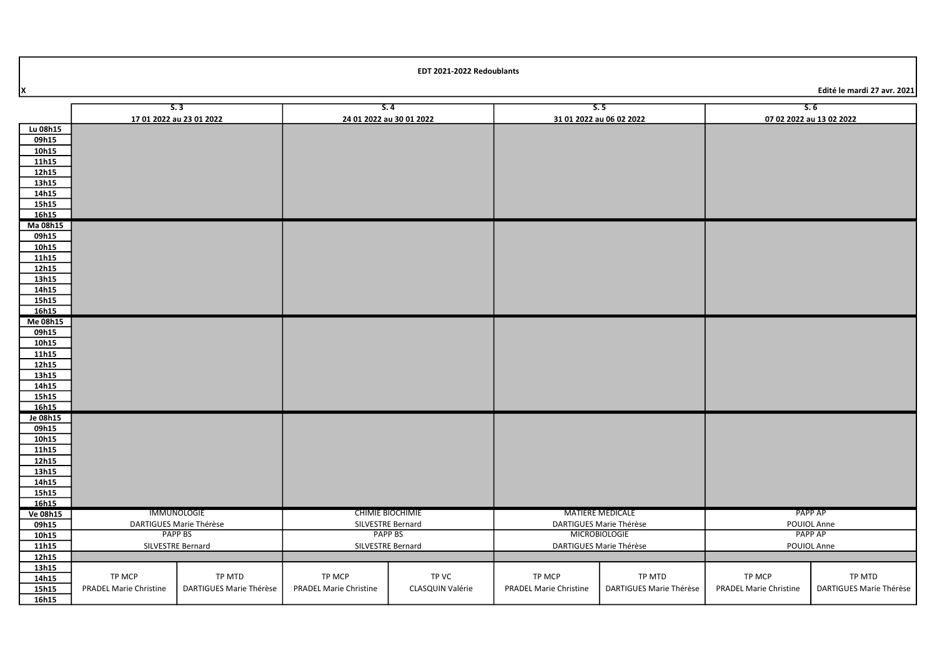Edité le mardi 27 avr. 2021

|                 |                               | S.3                     | 5.4                           |                  |                               | S.5                      |                               | 5.6                      |
|-----------------|-------------------------------|-------------------------|-------------------------------|------------------|-------------------------------|--------------------------|-------------------------------|--------------------------|
|                 | 17 01 2022 au 23 01 2022      |                         | 24 01 2022 au 30 01 2022      |                  |                               | 31 01 2022 au 06 02 2022 |                               | 07 02 2022 au 13 02 2022 |
| Lu 08h15        |                               |                         |                               |                  |                               |                          |                               |                          |
| 09h15           |                               |                         |                               |                  |                               |                          |                               |                          |
| 10h15           |                               |                         |                               |                  |                               |                          |                               |                          |
| 11h15           |                               |                         |                               |                  |                               |                          |                               |                          |
| 12h15           |                               |                         |                               |                  |                               |                          |                               |                          |
| 13h15           |                               |                         |                               |                  |                               |                          |                               |                          |
| 14h15           |                               |                         |                               |                  |                               |                          |                               |                          |
| 15h15           |                               |                         |                               |                  |                               |                          |                               |                          |
| 16h15           |                               |                         |                               |                  |                               |                          |                               |                          |
| Ma 08h15        |                               |                         |                               |                  |                               |                          |                               |                          |
| 09h15           |                               |                         |                               |                  |                               |                          |                               |                          |
| 10h15           |                               |                         |                               |                  |                               |                          |                               |                          |
| 11h15           |                               |                         |                               |                  |                               |                          |                               |                          |
| 12h15           |                               |                         |                               |                  |                               |                          |                               |                          |
| 13h15           |                               |                         |                               |                  |                               |                          |                               |                          |
| 14h15<br>15h15  |                               |                         |                               |                  |                               |                          |                               |                          |
| 16h15           |                               |                         |                               |                  |                               |                          |                               |                          |
| Me 08h15        |                               |                         |                               |                  |                               |                          |                               |                          |
| 09h15           |                               |                         |                               |                  |                               |                          |                               |                          |
| 10h15           |                               |                         |                               |                  |                               |                          |                               |                          |
| 11h15           |                               |                         |                               |                  |                               |                          |                               |                          |
| 12h15           |                               |                         |                               |                  |                               |                          |                               |                          |
| 13h15           |                               |                         |                               |                  |                               |                          |                               |                          |
| 14h15           |                               |                         |                               |                  |                               |                          |                               |                          |
| 15h15           |                               |                         |                               |                  |                               |                          |                               |                          |
| 16h15           |                               |                         |                               |                  |                               |                          |                               |                          |
| Je 08h15        |                               |                         |                               |                  |                               |                          |                               |                          |
| 09h15           |                               |                         |                               |                  |                               |                          |                               |                          |
| 10h15           |                               |                         |                               |                  |                               |                          |                               |                          |
| 11h15           |                               |                         |                               |                  |                               |                          |                               |                          |
| 12h15           |                               |                         |                               |                  |                               |                          |                               |                          |
| 13h15           |                               |                         |                               |                  |                               |                          |                               |                          |
| 14h15           |                               |                         |                               |                  |                               |                          |                               |                          |
| 15h15           |                               |                         |                               |                  |                               |                          |                               |                          |
| 16h15           |                               |                         |                               |                  |                               |                          |                               |                          |
| <b>Ve 08h15</b> |                               | IMMUNOLOGIE             | CHIMIE BIOCHIMIE              |                  | <b>MATIERE MEDICALE</b>       |                          |                               | PAPP AP                  |
| 09h15           |                               | DARTIGUES Marie Thérèse | SILVESTRE Bernard             |                  |                               | DARTIGUES Marie Thérèse  | POUIOL Anne                   |                          |
| 10h15           |                               | PAPP BS                 | PAPP BS                       |                  |                               | <b>MICROBIOLOGIE</b>     |                               | PAPP AP                  |
| 11h15           | SILVESTRE Bernard             |                         | SILVESTRE Bernard             |                  |                               | DARTIGUES Marie Thérèse  | POUIOL Anne                   |                          |
| 12h15           |                               |                         |                               |                  |                               |                          |                               |                          |
| 13h15           | TP MCP                        | TP MTD                  | TP MCP                        | TP VC            | TP MCP                        | TP MTD                   | TP MCP                        | TP MTD                   |
| 14h15           |                               |                         |                               |                  |                               |                          |                               |                          |
| 15h15           | <b>PRADEL Marie Christine</b> | DARTIGUES Marie Thérèse | <b>PRADEL Marie Christine</b> | CLASQUIN Valérie | <b>PRADEL Marie Christine</b> | DARTIGUES Marie Thérèse  | <b>PRADEL Marie Christine</b> | DARTIGUES Marie Thérèse  |
| 16h15           |                               |                         |                               |                  |                               |                          |                               |                          |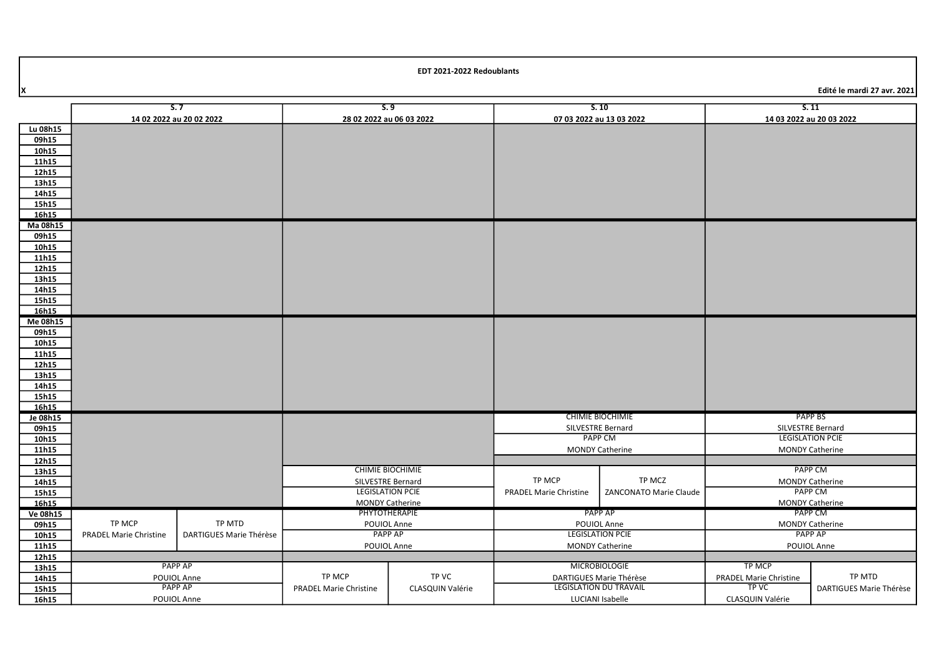X Edité le mardi 27 avr. 2021

|                 |                               | S.7                     | 5.9                                          |                                         |                        | S.10                                   | 5.11                                         |                                          |
|-----------------|-------------------------------|-------------------------|----------------------------------------------|-----------------------------------------|------------------------|----------------------------------------|----------------------------------------------|------------------------------------------|
|                 | 14 02 2022 au 20 02 2022      |                         | 28 02 2022 au 06 03 2022                     |                                         |                        | 07 03 2022 au 13 03 2022               | 14 03 2022 au 20 03 2022                     |                                          |
| Lu 08h15        |                               |                         |                                              |                                         |                        |                                        |                                              |                                          |
| 09h15           |                               |                         |                                              |                                         |                        |                                        |                                              |                                          |
| 10h15           |                               |                         |                                              |                                         |                        |                                        |                                              |                                          |
| 11h15           |                               |                         |                                              |                                         |                        |                                        |                                              |                                          |
| 12h15           |                               |                         |                                              |                                         |                        |                                        |                                              |                                          |
| 13h15           |                               |                         |                                              |                                         |                        |                                        |                                              |                                          |
| 14h15           |                               |                         |                                              |                                         |                        |                                        |                                              |                                          |
| 15h15           |                               |                         |                                              |                                         |                        |                                        |                                              |                                          |
| 16h15           |                               |                         |                                              |                                         |                        |                                        |                                              |                                          |
| Ma 08h15        |                               |                         |                                              |                                         |                        |                                        |                                              |                                          |
| 09h15           |                               |                         |                                              |                                         |                        |                                        |                                              |                                          |
| 10h15           |                               |                         |                                              |                                         |                        |                                        |                                              |                                          |
| 11h15           |                               |                         |                                              |                                         |                        |                                        |                                              |                                          |
| 12h15           |                               |                         |                                              |                                         |                        |                                        |                                              |                                          |
| 13h15<br>14h15  |                               |                         |                                              |                                         |                        |                                        |                                              |                                          |
| 15h15           |                               |                         |                                              |                                         |                        |                                        |                                              |                                          |
| 16h15           |                               |                         |                                              |                                         |                        |                                        |                                              |                                          |
| Me 08h15        |                               |                         |                                              |                                         |                        |                                        |                                              |                                          |
| 09h15           |                               |                         |                                              |                                         |                        |                                        |                                              |                                          |
| 10h15           |                               |                         |                                              |                                         |                        |                                        |                                              |                                          |
| 11h15           |                               |                         |                                              |                                         |                        |                                        |                                              |                                          |
| 12h15           |                               |                         |                                              |                                         |                        |                                        |                                              |                                          |
| 13h15           |                               |                         |                                              |                                         |                        |                                        |                                              |                                          |
| 14h15           |                               |                         |                                              |                                         |                        |                                        |                                              |                                          |
| 15h15           |                               |                         |                                              |                                         |                        |                                        |                                              |                                          |
| 16h15           |                               |                         |                                              |                                         |                        |                                        |                                              |                                          |
| Je 08h15        |                               |                         |                                              |                                         |                        | <b>CHIMIE BIOCHIMIE</b>                | PAPP BS                                      |                                          |
| 09h15           |                               |                         |                                              |                                         |                        | SILVESTRE Bernard                      | SILVESTRE Bernard<br><b>LEGISLATION PCIE</b> |                                          |
| 10h15           |                               |                         |                                              |                                         |                        | <b>PAPP CM</b>                         |                                              |                                          |
| 11h15           |                               |                         |                                              |                                         |                        | <b>MONDY Catherine</b>                 |                                              | <b>MONDY Catherine</b>                   |
| 12h15           |                               |                         |                                              |                                         |                        |                                        |                                              |                                          |
| 13h15           |                               |                         | <b>CHIMIE BIOCHIMIE</b>                      |                                         |                        |                                        | <b>PAPP CM</b>                               |                                          |
| 14h15           |                               |                         | SILVESTRE Bernard<br><b>LEGISLATION PCIE</b> |                                         | TP MCP                 | TP MCZ                                 |                                              | <b>MONDY Catherine</b><br><b>PAPP CM</b> |
| 15h15           |                               |                         |                                              |                                         | PRADEL Marie Christine | ZANCONATO Marie Claude                 |                                              |                                          |
| 16h15           |                               |                         |                                              | <b>MONDY Catherine</b><br>PHYTOTHERAPIE |                        | PAPP AP                                | PAPP CM                                      | <b>MONDY Catherine</b>                   |
| <b>Ve 08h15</b> | TP MCP                        | TP MTD                  |                                              |                                         |                        |                                        |                                              |                                          |
| 09h15<br>10h15  | <b>PRADEL Marie Christine</b> | DARTIGUES Marie Thérèse | POUIOL Anne<br>PAPP AP                       |                                         |                        | POUIOL Anne<br><b>LEGISLATION PCIE</b> |                                              | <b>MONDY Catherine</b><br>PAPP AP        |
| 11h15           |                               |                         | POUIOL Anne                                  |                                         |                        | <b>MONDY Catherine</b>                 | POUIOL Anne                                  |                                          |
| 12h15           |                               |                         |                                              |                                         |                        |                                        |                                              |                                          |
| 13h15           |                               | <b>PAPP AP</b>          |                                              |                                         |                        | <b>MICROBIOLOGIE</b>                   | TP MCP                                       |                                          |
| 14h15           |                               | POUIOL Anne             | TP MCP                                       | TP VC                                   |                        | DARTIGUES Marie Thérèse                | <b>PRADEL Marie Christine</b>                | TP MTD                                   |
| 15h15           |                               | <b>PAPP AP</b>          | <b>PRADEL Marie Christine</b>                | CLASQUIN Valérie                        |                        | LEGISLATION DU TRAVAIL                 | <b>TP VC</b>                                 | DARTIGUES Marie Thérèse                  |
| 16h15           |                               | POUIOL Anne             |                                              |                                         | LUCIANI Isabelle       |                                        | CLASQUIN Valérie                             |                                          |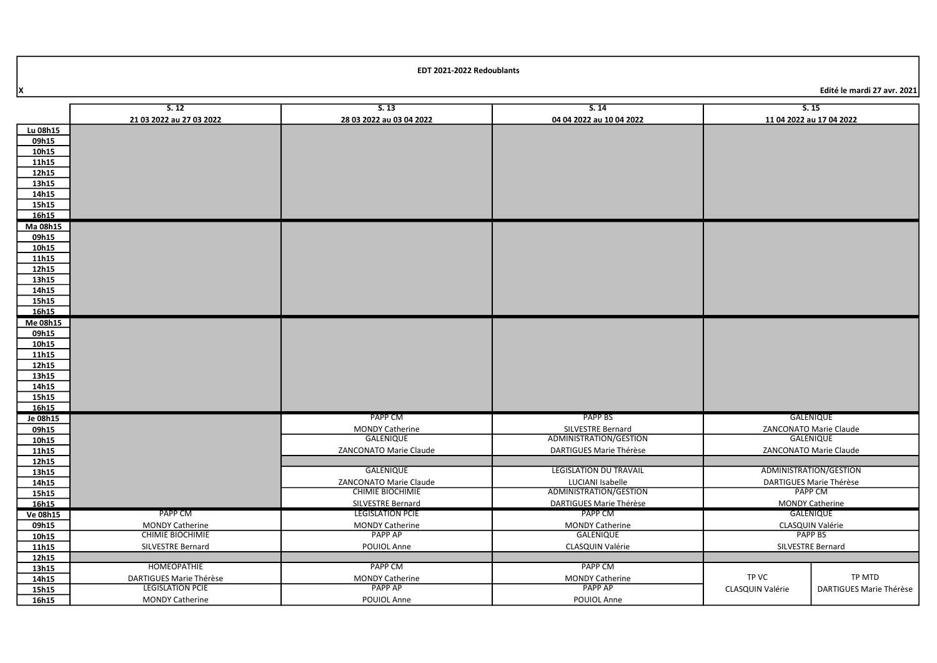X Edité le mardi 27 avr. 2021

|                   | 5.12                     | 5.13                     | 5.14                                        |                          | S.15                    |
|-------------------|--------------------------|--------------------------|---------------------------------------------|--------------------------|-------------------------|
|                   | 21 03 2022 au 27 03 2022 | 28 03 2022 au 03 04 2022 | 04 04 2022 au 10 04 2022                    | 11 04 2022 au 17 04 2022 |                         |
| Lu 08h15          |                          |                          |                                             |                          |                         |
| 09h15             |                          |                          |                                             |                          |                         |
| 10h15             |                          |                          |                                             |                          |                         |
| 11h15             |                          |                          |                                             |                          |                         |
| 12h15             |                          |                          |                                             |                          |                         |
| 13h15             |                          |                          |                                             |                          |                         |
| 14h15             |                          |                          |                                             |                          |                         |
| 15h15             |                          |                          |                                             |                          |                         |
| 16h15<br>Ma 08h15 |                          |                          |                                             |                          |                         |
| 09h15             |                          |                          |                                             |                          |                         |
| 10h15             |                          |                          |                                             |                          |                         |
| 11h15             |                          |                          |                                             |                          |                         |
| 12h15             |                          |                          |                                             |                          |                         |
| 13h15             |                          |                          |                                             |                          |                         |
| 14h15             |                          |                          |                                             |                          |                         |
| 15h15             |                          |                          |                                             |                          |                         |
| 16h15             |                          |                          |                                             |                          |                         |
| Me 08h15          |                          |                          |                                             |                          |                         |
| 09h15             |                          |                          |                                             |                          |                         |
| 10h15             |                          |                          |                                             |                          |                         |
| 11h15             |                          |                          |                                             |                          |                         |
| 12h15             |                          |                          |                                             |                          |                         |
| 13h15             |                          |                          |                                             |                          |                         |
| 14h15             |                          |                          |                                             |                          |                         |
| 15h15             |                          |                          |                                             |                          |                         |
| 16h15             |                          | PAPP CM                  | <b>PAPP BS</b>                              |                          | GALENIQUE               |
| Je 08h15          |                          | <b>MONDY Catherine</b>   |                                             |                          | ZANCONATO Marie Claude  |
| 09h15<br>10h15    |                          | <b>GALENIQUE</b>         | SILVESTRE Bernard<br>ADMINISTRATION/GESTION |                          | <b>GALENIQUE</b>        |
| 11h15             |                          | ZANCONATO Marie Claude   | DARTIGUES Marie Thérèse                     |                          | ZANCONATO Marie Claude  |
| 12h15             |                          |                          |                                             |                          |                         |
| 13h15             |                          | <b>GALENIQUE</b>         | <b>LEGISLATION DU TRAVAIL</b>               |                          | ADMINISTRATION/GESTION  |
| 14h15             |                          | ZANCONATO Marie Claude   | LUCIANI Isabelle                            |                          | DARTIGUES Marie Thérèse |
| 15h15             |                          | <b>CHIMIE BIOCHIMIE</b>  | ADMINISTRATION/GESTION                      |                          | <b>PAPP CM</b>          |
| 16h15             |                          | <b>SILVESTRE Bernard</b> | <b>DARTIGUES Marie Thérèse</b>              |                          | <b>MONDY Catherine</b>  |
| <b>Ve 08h15</b>   | PAPP CM                  | <b>LEGISLATION PCIE</b>  | PAPP CM                                     |                          | GALENIQUE               |
| 09h15             | <b>MONDY Catherine</b>   | <b>MONDY Catherine</b>   | <b>MONDY Catherine</b>                      |                          | CLASQUIN Valérie        |
| 10h15             | <b>CHIMIE BIOCHIMIE</b>  | <b>PAPP AP</b>           | <b>GALENIQUE</b>                            |                          | <b>PAPP BS</b>          |
| 11h15             | SILVESTRE Bernard        | POUIOL Anne              | CLASQUIN Valérie                            |                          | SILVESTRE Bernard       |
| 12h15             |                          |                          |                                             |                          |                         |
| 13h15             | <b>HOMEOPATHIE</b>       | <b>PAPP CM</b>           | <b>PAPP CM</b>                              |                          |                         |
| 14h15             | DARTIGUES Marie Thérèse  | <b>MONDY Catherine</b>   | <b>MONDY Catherine</b>                      | TP VC                    | TP MTD                  |
| 15h15             | <b>LEGISLATION PCIE</b>  | <b>PAPP AP</b>           | <b>PAPP AP</b>                              | CLASQUIN Valérie         | DARTIGUES Marie Thérèse |
| 16h15             | <b>MONDY Catherine</b>   | POUIOL Anne              | POUIOL Anne                                 |                          |                         |